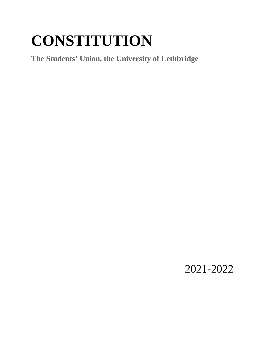# **CONSTITUTION**

**The Students' Union, the University of Lethbridge**

2021-2022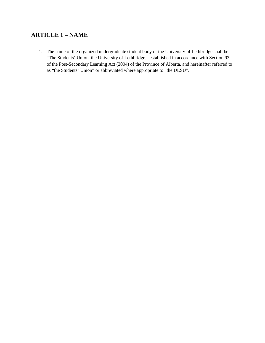### **ARTICLE 1 – NAME**

1. The name of the organized undergraduate student body of the University of Lethbridge shall be "The Students' Union, the University of Lethbridge," established in accordance with Section 93 of the Post-Secondary Learning Act (2004) of the Province of Alberta, and hereinafter referred to as "the Students' Union" or abbreviated where appropriate to "the ULSU".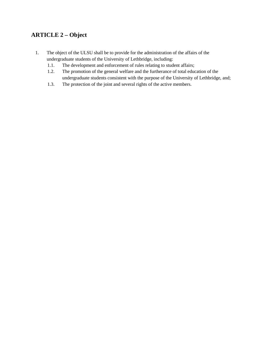## **ARTICLE 2 – Object**

- 1. The object of the ULSU shall be to provide for the administration of the affairs of the undergraduate students of the University of Lethbridge, including:
	- 1.1. The development and enforcement of rules relating to student affairs;
	- 1.2. The promotion of the general welfare and the furtherance of total education of the undergraduate students consistent with the purpose of the University of Lethbridge, and;
	- 1.3. The protection of the joint and several rights of the active members.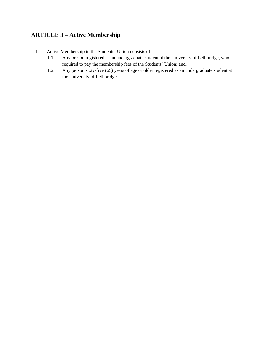## **ARTICLE 3 – Active Membership**

- 1. Active Membership in the Students' Union consists of:
	- 1.1. Any person registered as an undergraduate student at the University of Lethbridge, who is required to pay the membership fees of the Students' Union; and,
	- 1.2. Any person sixty-five (65) years of age or older registered as an undergraduate student at the University of Lethbridge.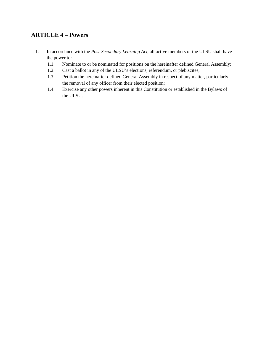## **ARTICLE 4 – Powers**

- 1. In accordance with the *Post-Secondary Learning Act,* all active members of the ULSU shall have the power to:
	- 1.1. Nominate to or be nominated for positions on the hereinafter defined General Assembly;
	- 1.2. Cast a ballot in any of the ULSU's elections, referendum, or plebiscites;
	- 1.3. Petition the hereinafter defined General Assembly in respect of any matter, particularly the removal of any officer from their elected position;
	- 1.4. Exercise any other powers inherent in this Constitution or established in the Bylaws of the ULSU.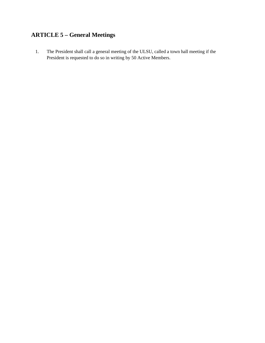# **ARTICLE 5 – General Meetings**

1. The President shall call a general meeting of the ULSU, called a town hall meeting if the President is requested to do so in writing by 50 Active Members.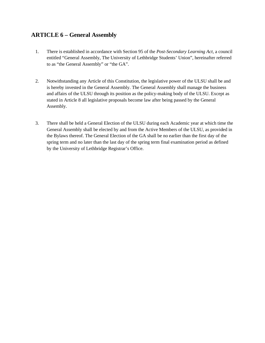#### **ARTICLE 6 – General Assembly**

- 1. There is established in accordance with Section 95 of the *Post-Secondary Learning Act,* a council entitled "General Assembly, The University of Lethbridge Students' Union", hereinafter referred to as "the General Assembly" or "the GA".
- 2. Notwithstanding any Article of this Constitution, the legislative power of the ULSU shall be and is hereby invested in the General Assembly. The General Assembly shall manage the business and affairs of the ULSU through its position as the policy-making body of the ULSU. Except as stated in Article 8 all legislative proposals become law after being passed by the General Assembly.
- 3. There shall be held a General Election of the ULSU during each Academic year at which time the General Assembly shall be elected by and from the Active Members of the ULSU, as provided in the Bylaws thereof. The General Election of the GA shall be no earlier than the first day of the spring term and no later than the last day of the spring term final examination period as defined by the University of Lethbridge Registrar's Office.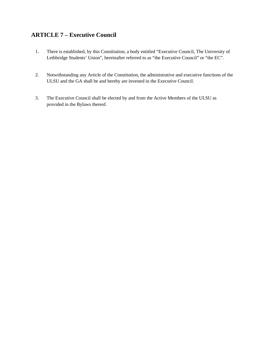### **ARTICLE 7 – Executive Council**

- 1. There is established, by this Constitution, a body entitled "Executive Council, The University of Lethbridge Students' Union", hereinafter referred to as "the Executive Council" or "the EC".
- 2. Notwithstanding any Article of the Constitution, the administrative and executive functions of the ULSU and the GA shall be and hereby are invested in the Executive Council.
- 3. The Executive Council shall be elected by and from the Active Members of the ULSU as provided in the Bylaws thereof.